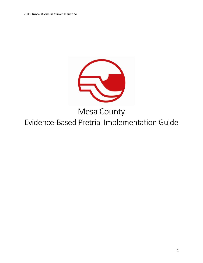

# Mesa County

Evidence-Based Pretrial Implementation Guide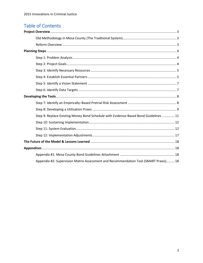## **Table of Contents**

<span id="page-1-0"></span>

| Step 9: Replace Existing Money Bond Schedule with Evidence-Based Bond Guidelines  11 |
|--------------------------------------------------------------------------------------|
|                                                                                      |
|                                                                                      |
|                                                                                      |
|                                                                                      |
|                                                                                      |
|                                                                                      |
| Appendix #2: Supervision Matrix Assessment and Recommendation Tool (SMART Praxis) 18 |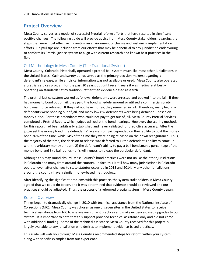## **Project Overview**

Mesa County serves as a model of successful Pretrial reform efforts that have resulted in significant positive changes. The following guide will provide advice from Mesa County stakeholders regarding the steps that were most effective in creating an environment of change and sustaining implementation efforts. Helpful tips are included from our efforts that may be beneficial to any jurisdiction endeavoring to conform its Pretrial justice system to align with current research and known best practices in the field.

## <span id="page-2-0"></span>Old Methodology in Mesa County (The Traditional System)

Mesa County, Colorado, historically operated a pretrial bail system much like most other jurisdictions in the United States. Cash and surety bonds served as the primary decision-makers regarding a defendant's release, while empirical information was not available or used. Mesa County also operated a pretrial services program for the past 20 years, but until recent years it was mediocre at best – operating on standards set by tradition, rather than evidence-based research.

The pretrial justice system worked as follows: defendants were arrested and booked into the jail. If they had money to bond out of jail, they paid the bond schedule amount or utilized a commercial surety bondsman to be released. If they did not have money, they remained in jail. Therefore, many high risk defendants were bonding out of jail, and many low risk defendants were being detained—based on money alone. For those defendants who could not pay to get out of jail, Mesa County Pretrial Services completed a Pretrial Report, which judges utilized at the bond hearings. However, the scoring methods for this report had been arbitrarily established and never validated for predictive accuracy. After the judge set the money bond, the defendants' release from jail depended on their ability to post the money bond 76% of the time, while 24% of the time they were being released on their own recognizance. Thus, the majority of the time, the decision to release was deferred to 1) the defendant's ability to come up with the arbitrary money amount, 2) the defendant's ability to pay a bail bondsman a percentage of the money bond and 3) a bail-bondsman's willingness to release the particular defendant.

Although this may sound absurd, Mesa County's bond practices were not unlike the other jurisdictions in Colorado and many from around the country. In fact, this is still how many jurisdictions in Colorado operate, even after changes to state statutes occurred in 2013 and 2014. Many other jurisdictions around the country have a similar money-based methodology.

After identifying the significant problems with this practice, the system stakeholders in Mesa County agreed that we could do better, and it was determined that evidence should be reviewed and our practices should be adjusted. Thus, the process of a reformed pretrial system in Mesa County began.

## <span id="page-2-1"></span>Reform Overview

Things began to dramatically change in 2010 with technical assistance from the National Institute of Corrections (NIC). Mesa County was chosen as one of seven sites in the United States to receive technical assistance from NIC to analyze our current practices and make evidence-based upgrades to our system. It is important to note that this support provided technical assistance only and did not come with additional funding. Some of the technical assistance Mesa County received for this project is largely available to any jurisdiction who desires to implement evidence-based practices.

This guide will walk you through Mesa County's recommended steps for reform within your system, along with specific examples from our experience.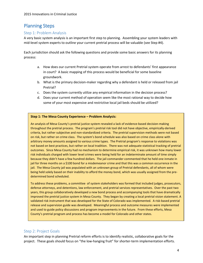## <span id="page-3-0"></span>Planning Steps

## <span id="page-3-1"></span>Step 1: Problem Analysis

A very basic system analysis is an important first step to planning. Assembling your system leaders with mid-level system experts to outline your current pretrial process will be valuable (see Step #4).

Each jurisdiction should ask the following questions and provide some basic answers for its planning process:

- a. How does our current Pretrial system operate from arrest to defendants' first appearance in court? A basic mapping of this process would be beneficial for some baseline groundwork.
- b. What is the primary decision-maker regarding why a defendant is held or released from jail Pretrial?
- c. Does the system currently utilize any empirical information in the decision process?
- d. Does your current method of operation seem like the most rational way to decide how some of your most expensive and restrictive local jail beds should be utilized?

## **Step 1: The Mesa County Experience – Problem Analysis:**

An analysis of Mesa County's pretrial justice system revealed a lack of evidence-based decision-making throughout the pretrial process. The program's pretrial risk tool did not have objective, empirically-derived criteria, but rather subjective and non-standardized criteria. The pretrial supervision methods were not based on risk, but rather on crime class. The system's bond schedule was also based on crime class alone with arbitrary money amounts assigned to various crime types. The Pretrial program's response to violations was not based on best practices, but rather on local tradition. There was not adequate statistical tracking of pretrial outcomes. Since Mesa County had no mechanism to determine empirical risk, it was unknown how many lower risk individuals charged with lower level crimes were being held for an indeterminate amount of time simply because they didn't have a few hundred dollars. The jail commander commented that he held one inmate in jail for three months on a \$100 bond for a misdemeanor crime and that this was a common occurrence in the jail. The Mesa County jail was populated with an unknown group of Pretrial defendants, all of whom were being held solely based on their inability to afford the money bond, which was usually assigned from the predetermined bond scheduled.

To address these problems, a committee of system stakeholders was formed that included judges, prosecutors, defense attorneys, and detentions, law enforcement, and pretrial services representatives. Over the past two years, this group collaboratively developed a new bond process and accompanying tools that have dramatically improved the pretrial justice system in Mesa County. They began by creating a local pretrial vision statement. A validated risk instrument that was developed for the State of Colorado was implemented. A risk-based pretrial release and supervision guide was developed. Meaningful process and outcome measures were implemented and used to guide policy discussions and program improvements in the future. From these efforts, Mesa County's pretrial program and process has become a model for Colorado and other states.

## <span id="page-3-2"></span>Step 2: Project Goals

An important step in planning Pretrial reform efforts is to identify realistic, collaborative goals for the project. These goals should focus on "the low-hanging fruit" for shorter-term implementation efforts.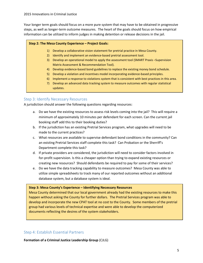Your longer term goals should focus on a more pure system that may have to be obtained in progressive steps, as well as longer-term outcome measures. The heart of the goals should focus on how empirical information can be utilized to inform judges in making detention or release decisions in the jail.

## **Step 2: The Mesa County Experience – Project Goals:**

- 1) Develop a collaborative vision statement for pretrial practice in Mesa County.
- 2) Identify and implement an evidence-based pretrial assessment tool.
- 3) Develop an operational model to apply the assessment tool (SMART Praxis –Supervision Matrix Assessment & Recommendation Tool).
- 4) Develop evidence-based bond guidelines to replace the existing money bond schedule.
- 5) Develop a violation and incentives model incorporating evidence-based principles.
- 6) Implement a response to violations system that is consistent with best practices in this area.
- 7) Develop an advanced data tracking system to measure outcomes with regular statistical updates.

## <span id="page-4-0"></span>Step 3: Identify Necessary Resources

A jurisdiction should answer the following questions regarding resources:

- a. Do we have the existing resources to assess risk levels coming into the jail? This will require a minimum of approximately 10 minutes per defendant for each screen. Can the current jail booking staff add this to their booking duties?
- b. If the jurisdiction has an existing Pretrial Services program, what upgrades will need to be made to the current practices?
- c. What resources are available to supervise defendant bond conditions in the community? Can an existing Pretrial Services staff complete this task? Can Probation or the Sherriff's Department complete this task?
- d. If private providers are considered, the jurisdiction will need to consider factors involved in for-profit supervision. Is this a cheaper option than trying to expand existing resources or creating new resources? Should defendants be required to pay for some of their services?
- e. Do we have the data tracking capability to measure outcomes? Mesa County was able to utilize simple spreadsheets to track many of our reported outcomes without an additional database system, but a database system is ideal.

## **Step 3: Mesa County's Experience – Identifying Necessary Resources**

Mesa County determined that our local government already had the existing resources to make this happen without asking the County for further dollars. The Pretrial Services program was able to develop and incorporate the new CPAT tool at no cost to the County. Some members of the pretrial group had various levels of technical expertise and were able to develop the computerized documents reflecting the desires of the system stakeholders.

## <span id="page-4-1"></span>Step 4: Establish Essential Partners

**Formation of a Criminal Justice Leadership Group** (CJLG)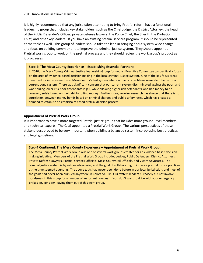It is highly recommended that any jurisdiction attempting to bring Pretrial reform have a functional leadership group that includes key stakeholders, such as the Chief Judge, the District Attorney, the head of the Public Defender's Officer, private defense lawyers, the Police Chief, the Sheriff, the Probation Chief, and other key leaders. If you have an existing pretrial services program, it should be represented at the table as well. This group of leaders should take the lead in bringing about system-wide change and focus on building commitment to improve the criminal justice system. They should appoint a Pretrial work group to work on the pretrial process and they should review the work group's product as it progresses.

#### **Step 4: The Mesa County Experience – Establishing Essential Partners:**

In 2010, the Mesa County Criminal Justice Leadership Group formed an Executive Committee to specifically focus on the area of evidence-based decision making in the local criminal justice system. One of the key focus areas identified for improvement was Mesa County's bail system where numerous problems were identified with our current bond system. There was significant concern that our current system discriminated against the poor, and was holding lower-risk poor defendants in jail, while allowing higher risk defendants who had money to be released, solely based on their ability to find money. Furthermore, growing research has shown that there is no correlation between money bonds based on criminal charges and public safety rates, which has created a demand to establish an empirically-based pretrial decision process.

## **Appointment of Pretrial Work Group**

It is important to have a more targeted Pretrial justice group that includes more ground-level members and technical experts. The CJLG appointed a Pretrial Work Group. The various perspectives of these stakeholders proved to be very important when building a balanced system incorporating best practices and legal guidelines.

## **Step 4 Continued: The Mesa County Experience – Appointment of Pretrial Work Group:**

The Mesa County Pretrial Work Group was one of several work groups created for an evidence-based decision making initiative. Members of the Pretrial Work Group included Judges, Public Defenders, District Attorneys, Private Defense Lawyers, Pretrial Services Officials, Mesa County Jail Officials, and Victim Advocates. The criminal justice system is by nature adversarial, and the goal of collaborating to improve pretrial justice practices at the time seemed daunting. The above tasks had never been done before in our local jurisdiction, and most of the goals had never been pursued anywhere in Colorado. Tip: Our system leaders purposely did not involve bondsmen in this group for a number of important reasons. If you don't want to drive with your emergency brakes on, consider leaving them out of this work group.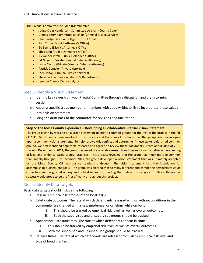The Pretrial Committee included (Membership):

- Judge Craig Henderson, Committee co-chair (County Court)
- Dennis Berry, Committee co-chair (Criminal Justice Services)
- Chief Judge David A. Bottger (District Court)
- Rich Tuttle (District Attorney's Office)
- Bo Zeerip (District Attorney's Office)
- Thea Reiff (Public Defender's Office)
- Alexander Vitale (Public Defender's Office)
- Ed Nugent (Private Criminal Defense Attorney)
- Leslie Castro (Private Criminal Defense Attorney)
- Patrick Gentzler (Private Attorney)
- Joel Bishop (Criminal Justice Services)
- Steve Farlow (Captain, Sheriff 's Department)
- Jennifer Sheetz (Data Analyst)

## <span id="page-6-0"></span>Step 5: Identify a Vision Statement

- a. Identify key values from your Pretrial Committee through a discussion and brainstorming session.
- b. Assign a specific group member or members with good writing skills to incorporate those values into a Vision Statement.
- c. Bring the draft back to the committee for revisions and finalization.

#### **Step 5: The Mesa County Experience – Developing a Collaborative Pretrial Vision Statement**

The group began by working on a vision statement to create common ground for the rest of the project in the fall of 2011. Much conflict was involved in this process and there was little hope that the group could even agree upon a common vision statement. To help resolve this conflict and determine if these stakeholders had common ground, we first identified applicable research and agreed to review these documents. From about June of 2011 through December of 2011, the group reviewed the available research and began to gain a better understanding of legal and evidence-based pretrial practices. This process revealed that the group had much more in common than initially thought. By December 2011, the group developed a vision statement that was ultimately accepted by the Mesa County Criminal Justice Leadership Group. The vision statement laid the foundation for accomplishing subsequent goals. The group was pleased that so many different and competing perspectives could come to common ground on key and critical issues surrounding the pretrial justice system. This collaborative success would prove to be the first of many throughout this project.

## <span id="page-6-1"></span>Step 6: Identify Data Targets

Basic data targets should include the following:

- a. Regular empirical risk profiles of the local jail(s).
- b. Safety rate outcomes: The rate at which defendants released with or without conditions in the community are charged with a new misdemeanor or felony while on bond.
	- i. This should be tracked by empirical risk level, as well as overall outcomes.
	- ii. Both the supervised and unsupervised groups should be tracked.
- c. Appearance Rate outcomes: The rate at which defendants appear in court.
	- i. This should be tracked by empirical risk level, as well as overall outcomes.
	- ii. Both the supervised and unsupervised groups should be tracked.
- d. Release Rates: The rate at which defendants are released from jail by empirical risk level and type of bond granted.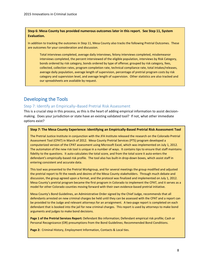**Step 6: Mesa County has provided numerous outcomes later in this report. See Step 11, System Evaluation.**

In addition to tracking the outcomes in Step 11, Mesa County also tracks the following Pretrial Outcomes. These are outcomes for your consideration and discussion.

Total interviews completed, average daily interviews, felony interviews completed, misdemeanor interviews completed, the percent interviewed of the eligible population, interviews by Risk Category, bonds ordered by risk category, bonds ordered by type of offense; grouped by risk category, fees, collected, collection rates, program completion rate, technical compliance rate, total intakes/releases, average daily population, average length of supervision, percentage of pretrial program costs by risk category and supervision level, and average length of supervision. Other statistics are also tracked and our spreadsheets are available by request.

## <span id="page-7-0"></span>Developing the Tools

## <span id="page-7-1"></span>Step 7: Identify an Empirically–Based Pretrial Risk Assessment

This is a crucial step in this process, as this is the heart of adding empirical information to assist decisionmaking. Does your jurisdiction or state have an existing validated tool? If not, what other immediate options exist?

## **Step 7: The Mesa County Experience: Identifying an Empirically-Based Pretrial Risk Assessment Tool**

The Pretrial Justice Institute in conjunction with the JFA Institute released the research on the Colorado Pretrial Assessment Tool (CPAT) in March of 2012. Mesa County Pretrial Services (PTS) program developed a computerized version of the CPAT assessment using Microsoft Excel, which was implemented on July 1, 2012. The automaton of the new risk tool is unique in a number of ways. It contains tips to ensure that staff maintains fidelity to the questions. It auto-calculates the total score, and from the total score it auto-enters the defendant's empirically-based risk profile. The tool also has built-in drop-down boxes, which assist staff in entering consistent and accurate data.

This tool was presented to the Pretrial Workgroup, and for several meetings the group modified and adjusted the pretrial report to fit the needs and desires of the Mesa County stakeholders. Through much debate and discussion, the group agreed upon a format, and the protocol was finalized and implemented on July 1, 2012. Mesa County's pretrial program became the first program in Colorado to implement the CPAT, and it serves as a model for other Colorado counties moving forward with their own evidence-based pretrial initiative.

Mesa County's Bond Guidelines, an Administrative Order signed by the Chief Judge, recommends that all defendants arrested on new criminal charges be held until they can be assessed with the CPAT and a report can be provided to the Judge and relevant attorneys for an arraignment. A two-page report is completed on each defendant that is booked into the jail for new criminal charges. This report is used by attorneys to make bond arguments and judges to make bond decisions.

**Page 1 of the Pretrial Services Report:** Defendant Bio information; Defendant empirical risk profile; Cash or Personal Recognizance (OR) presumptions from the Bond Guidelines; Recommended Bond Conditions.

**Page 2:** Criminal History, Employment Information, Contacts & Local ties.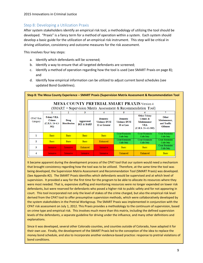## <span id="page-8-0"></span>Step 8: Developing a Utilization Praxis

After system stakeholders identify an empirical risk tool, a methodology of utilizing the tool should be developed. "Praxis" is a fancy term for a method of operation within a system. Each system should develop a basic guide for the utilization of an empirical risk instrument. This step will be critical in driving utilization, consistency and outcome measures for the risk assessment.

This involves four key steps:

- a. Identify which defendants will be screened;
- b. Identify a way to ensure that all targeted defendants are screened;
- c. Identify a method of operation regarding how the tool is used (see SMART Praxis on page 8); and
- d. Identify how empirical information can be utilized to adjust current bond schedules (see updated Bond Guidelines).

| Step 8: The Mesa County Experience - SMART Praxis (Supervision Matrix Assessment & Recommendation Tool                 |                                                                                                |                  |                                     |                                                          |                                                       |                                                                                              |                                                         |  |  |  |
|------------------------------------------------------------------------------------------------------------------------|------------------------------------------------------------------------------------------------|------------------|-------------------------------------|----------------------------------------------------------|-------------------------------------------------------|----------------------------------------------------------------------------------------------|---------------------------------------------------------|--|--|--|
| <b>MESA COUNTY PRETRIAL SMART PRAXIS Version 4</b><br>$(SMARKT = Supervision Matrix Assessment & Recommendation Tool)$ |                                                                                                |                  |                                     |                                                          |                                                       |                                                                                              |                                                         |  |  |  |
|                                                                                                                        | 2<br>3<br>5.                                                                                   |                  |                                     |                                                          |                                                       |                                                                                              |                                                         |  |  |  |
| <b>CPAT Risk</b><br>Category                                                                                           | <b>Felony VRA</b><br><b>Crimes</b><br>Drug<br>$(C.R.S. 24-4.1-$<br><b>Distribution</b><br>302) |                  | Aggravated<br><b>DUI &amp; DARP</b> | <b>Domestic</b><br><b>Violence DVSI</b><br>11 or Greater | <b>Domestic</b><br><b>Violence DVSI</b><br>10 or Less | <b>Other Felony</b><br>Crimes &<br><b>Misdemeanor</b><br><b>VRA</b><br>$(C.R.S. 24-4.1-302)$ | Other<br>Misdemeanor,<br>and Traffic<br><b>Offenses</b> |  |  |  |
|                                                                                                                        | <b>Basic</b>                                                                                   | <b>Basic</b>     | <b>Basic</b>                        | <b>Basic</b>                                             | Court Reminder<br>Calls Only                          | Court Reminder<br>Calls Only                                                                 | Court Reminder<br>Calls Only                            |  |  |  |
| 2                                                                                                                      | <b>Basic</b>                                                                                   | <b>Basic</b>     | <b>Basic</b>                        | Enhanced                                                 | Court Reminder<br>Calls Only                          | Court Reminder<br>Calls Only                                                                 | Court Reminder<br>Calls Only                            |  |  |  |
| 3                                                                                                                      | Intensive                                                                                      | <b>Intensive</b> | Enhanced                            | Intensive                                                | <b>Basic</b>                                          | <b>Basic</b>                                                                                 | Court Reminder<br>Calls Only                            |  |  |  |
|                                                                                                                        | <b>Intensive</b>                                                                               | Intensive        | Intensive                           | Intensive                                                | Enhanced                                              | Enhanced                                                                                     | <b>Basic</b>                                            |  |  |  |

It became apparent during the development process of the CPAT tool that our system would need a mechanism that brought consistency regarding how the tool was to be utilized. Therefore, at the same time the tool was being developed, the Supervision Matrix Assessment and Recommendation Tool (SMART Praxis) was developed. (See Appendix #2). The SMART Praxis identifies which defendants would be supervised and at which level of supervision. It provided a way for the first time for the program to be able to allocate its resources where they were most needed. That is, expensive staffing and monitoring resources were no longer expended on lower risk defendants, but were reserved for defendants who posed a higher risk to public safety and for not appearing in court. This tool incorporated not only the level of stakes of the crime charged, but also the empirical risk level derived from the CPAT tool to offer presumptive supervision methods, which were collaboratively developed by the system stakeholders in the Pretrial Workgroup. The SMART Praxis was implemented in conjunction with the CPAT risk assessment on July 1, 2012. This Praxis provides a methodology to the continuum of supervision, based on crime type and empirical risk. This involves much more than this matrix, including the defined supervision levels of the defendants, a separate guideline for driving under the influence, and many other definitions and explanations.

Since it was developed, several other Colorado counties, and counties outside of Colorado, have adapted it for their own use. Finally, the development of the SMART Praxis led to the conception of the idea to replace the money bond schedule, and also to incorporate another evidence-based practice: response to pretrial violations of bond conditions.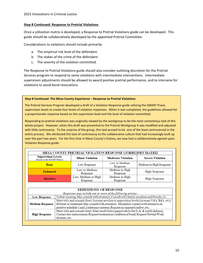## **Step 8 Continued: Response to Pretrial Violations**

Once a utilization matrix is developed, a Response to Pretrial Violations guide can be developed. This guide should be collaboratively developed by the appointed Pretrial Committee.

Considerations to violations should include primarily:

- a. The empirical risk level of the defendant.
- b. The stakes of the crime of the defendant.
- c. The severity of the violation committed.

The Response to Pretrial Violations guide should also consider outlining discretion for the Pretrial Services program to respond to some violations with intermediate interventions. Intermediate supervision adjustments should be allowed to award positive pretrial performance, and to intervene for violations to avoid bond revocations.

#### **Step 8 Continued: The Mesa County Experience – Response to Pretrial Violations**

The Pretrial Services Program developed a draft of a Violation Response guide utilizing the SMART Praxis supervision levels to create four levels of violation responses. When it was completed, the guidelines allowed for a proportionate response based on the supervision level and the level of violation committed.

Responding to pretrial violations was originally viewed by the workgroup to be the most contentious task of this whole project. However, when this draft was presented to the Pretrial Workgroup it was modified and adjusted with little controversy. To the surprise of the group, this task proved to be one of the least controversial in the entire process. We attributed this lack of controversy to the collaborative culture that had increasingly built up over the past two years. For the first time in Mesa County's history, we now had a collaboratively-agreed upon Violation Response guide.

| MESA COUNTY PRETRIAL VIOLATION RESPONSE GUIDELINES MATRIX |                                                     |                            |                         |  |  |  |  |  |
|-----------------------------------------------------------|-----------------------------------------------------|----------------------------|-------------------------|--|--|--|--|--|
| <b>Supervision Levels</b><br>(Based on the SMART Praxis)  | <b>Minor Violation</b><br><b>Moderate Violation</b> |                            | <b>Severe Violation</b> |  |  |  |  |  |
| <b>Basic</b>                                              | Low Response                                        | Low to Medium<br>Response  | Medium to High Response |  |  |  |  |  |
| <b>Enhanced</b>                                           | Low to Medium<br>Response                           | Medium to High<br>Response | High Response           |  |  |  |  |  |
| <b>Intensive</b>                                          | Low, Medium or High<br>Response                     | Medium to High<br>Response | High Response           |  |  |  |  |  |

#### DEFINITIONS OF RESPONSE

| Responses may include one or more of the following actions: |                                                                                                   |  |  |  |  |  |
|-------------------------------------------------------------|---------------------------------------------------------------------------------------------------|--|--|--|--|--|
| <b>Low Response</b>                                         | Verbal warning; May consult with attorneys; Consult with family members and friends; etc.         |  |  |  |  |  |
|                                                             | Meet with and counsel client; Increase services or supervision levels (increase UA's, BA's, etc); |  |  |  |  |  |
| <b>Medium Response</b>                                      | Referral to treatment; May consult with attorneys; Mandatory contact with attorneys on            |  |  |  |  |  |
|                                                             | positive schedule 1 and 2 substance screens; Request an imposed curfew; etc.                      |  |  |  |  |  |
|                                                             | Meet with and counsel client; Must send Notice paperwork to the D.A. & notify defense;            |  |  |  |  |  |
| <b>High Response</b>                                        | Contact law enforcement; Request treatment as condition of bond; Request Pretrial Work            |  |  |  |  |  |
|                                                             | Release; etc.                                                                                     |  |  |  |  |  |
|                                                             |                                                                                                   |  |  |  |  |  |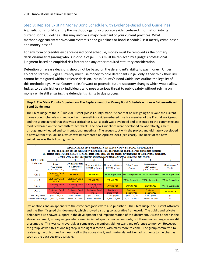## <span id="page-10-0"></span>Step 9: Replace Existing Money Bond Schedule with Evidence-Based Bond Guidelines

A jurisdiction should identify the methodology to incorporate evidence-based information into its current Bond Guidelines. This may involve a major overhaul of your current practices. What methodology currently drives your system's bond guidelines or bond schedule? Is it merely crime-based and money-based?

For any form of credible evidence-based bond schedule, money must be removed as the primary decision-maker regarding who is in or out of jail. This must be replaced by a judge's professional judgment based on empirical risk factors and any other required statutory consideration.

Detention or release decisions should not be based on the defendant's ability to pay money. Under Colorado statute, judges currently must use money to hold defendants in jail only if they think their risk cannot be mitigated within a release decision. Mesa County's Bond Guidelines outline the legality of this methodology. Mesa County looks forward to potential future statutory changes which would allow Judges to detain higher risk individuals who pose a serious threat to public safety without relying on money while still ensuring the defendant's rights to due process.

#### **Step 9: The Mesa County Experience – The Replacement of a Money Bond Schedule with new Evidence-Based Bond Guidelines:**

The Chief Judge of the 21<sup>st</sup> Judicial District (Mesa County) made it clear that he was going to revoke the current money bond schedule and replace it with something evidence-based. He is a member of the Pretrial workgroup and the group agreed that this was a critical task. So, a draft was developed and presented to the committee and modified based on the committee's feedback. The new Guidelines were developed collaboratively, albeit through many heated and confrontational meetings. The group stuck with the project and ultimately developed a new system of guidelines, which was implemented on April 29, 2013 (see chart). The heart of the new guidelines was the following matrix.

| <b>ADMINISTRATIVE ORDER 13-01: MESA COUNTY BOND GUIDELINES</b>                                                  |                                                                                                                            |                                                  |                          |                                                        |                                                                                                  |                                                           |                          |  |  |
|-----------------------------------------------------------------------------------------------------------------|----------------------------------------------------------------------------------------------------------------------------|--------------------------------------------------|--------------------------|--------------------------------------------------------|--------------------------------------------------------------------------------------------------|-----------------------------------------------------------|--------------------------|--|--|
| The type and amount of bond indicated by the guidelines are presumptions, and the parties should also consider: |                                                                                                                            |                                                  |                          |                                                        |                                                                                                  |                                                           |                          |  |  |
|                                                                                                                 | The factors enumerated in CRS 16-4-105, the facts of the case, and the specific circumstances of the individual defendant. |                                                  |                          |                                                        |                                                                                                  |                                                           |                          |  |  |
|                                                                                                                 |                                                                                                                            |                                                  |                          |                                                        | See the Crime Column Appendix for details regarding the specific crimes included in each column. |                                                           |                          |  |  |
| <b>CPAT Risk</b>                                                                                                |                                                                                                                            |                                                  |                          |                                                        |                                                                                                  | 6                                                         |                          |  |  |
| Category                                                                                                        | Felony<br><b>VRA</b> Crimes<br>$(C.R.S. 24-4.1-302)$                                                                       | Drug Distribution<br>& Aggravated<br><b>DARP</b> | DVSI 11 or Greater       | Domestic Violence Domestic Violence<br>DVSI 10 or Less | Other Felony<br>Crimes                                                                           | Misdemeanor<br><b>VRA</b> Crimes<br>$(C.R.S. 24-4.1-302)$ | Misdemeanor &<br>Traffic |  |  |
| Cat <sub>1</sub>                                                                                                | Cautionary Bond<br>w/PTS                                                                                                   | PR with PTS                                      | PR with PTS              | PR No Supervision                                      | *PR No Supervision                                                                               | PR No Supervision                                         | *PR No Supervision       |  |  |
| Cat 2                                                                                                           | Cautionary Bond<br>w/PTS                                                                                                   | Cautionary Bond<br>w/PTS                         | PR with PTS              | PR with PTS                                            | PR No Supervision                                                                                | PR No Supervision                                         | *PR No Supervision       |  |  |
| Cat3                                                                                                            | Cautionary Bond<br>w/PTS                                                                                                   | Cautionary Bond<br>w/PTS                         | Cautionary Bond<br>w/PTS | PR with PTS                                            | PR with PTS                                                                                      | PR with PTS                                               | *PR No Supervision       |  |  |
| Cat 4                                                                                                           | Cautionary Bond<br>w/PTS                                                                                                   | <b>Cautionary Bond</b><br>w/PTS                  | Cautionary Bond<br>w/PTS | Cautionary<br>Bond w/PTS                               | Cautionary<br>Bond w/PTS                                                                         | Cautionary<br>Bond w/PTS                                  | <b>PR</b> with PTS       |  |  |
| Cash Only Range                                                                                                 | \$100 - \$100,000                                                                                                          | $$100 - $50,000$                                 | \$100 - \$10,000         | $$100 - $1,000$                                        | $$100 - $10,000$                                                                                 | $$100 - $1,000$                                           | S0.                      |  |  |
| <b>Secured Bond Range</b>                                                                                       | $$1,000 - $1,000,000$                                                                                                      | \$1,000 - \$500,000                              | $$1,000 - $100,000$      | \$1,000 - \$10,000                                     | $$1,000 - $100,000$                                                                              | $$1,000 - $10,000$                                        | SO.                      |  |  |

Explanations and an appendix to the crime categories were also published. The Chief Judge, the District Attorney and the Sheriff signed this document, which showed a strong collaborative framework. The public and private defenders also showed support in the development and implementation of this document. As can be seen in the above document, money ranges where used in lieu of specific money amounts, but these money ranges were still presumptive. This was controversial, as some group members did not want any reference to money. However, the group viewed this as one big step in the right direction, with many more to come. The group committed to reviewing the outcomes from each cell in the above chart, and making data-driven adjustments to the chart as soon as the data became available.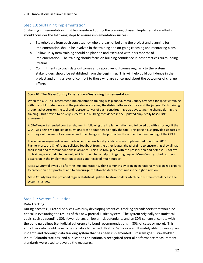#### 2015 Innovations in Criminal Justice

## <span id="page-11-0"></span>Step 10: Sustaining Implementation

Sustaining implementation must be considered during the planning phases. Implementation efforts should consider the following steps to ensure implementation success.

- a. Stakeholders from each constituency who are part of building the project and planning for implementation should be involved in the training and on-going coaching and mentoring plans.
- b. Follow-up system training should be planned and executed within six months of implementation. The training should focus on building confidence in best practices surrounding Pretrial.
- c. Commitments to track data outcomes and report key outcomes regularly to the system stakeholders should be established from the beginning. This will help build confidence in the project and bring a level of comfort to those who are concerned about the outcomes of change efforts.

## **Step 10: The Mesa County Experience – Sustaining Implementation**

When the CPAT risk assessment implementation training was planned, Mesa County arranged for specific training with the public defenders and the private defense bar, the district attorney's office and the judges. Each training group had experts on the tool and representatives of each constituent group advocating the change during the training. This proved to be very successful in building confidence in the updated empirically based risk assessment.

A CPAT expert attended court arraignments following the implementation and followed up with attorneys if the CPAT was being misapplied or questions arose about how to apply the tool. This person also provided updates to attorneys who were not as familiar with the changes to help broaden the scope of understanding of the CPAT.

The same arrangements were made when the new bond guidelines were implemented in April of 2013. Furthermore, the Chief Judge solicited feedback from the other judges ahead of time to ensure that they all had their input and recommendations in advance. This also took place with the prosecution and defense. A followup training was conducted as well, which proved to be helpful in getting buy-in. Mesa County noted no open dissension in the implementation process and received much support.

Mesa County followed up after the implementation within six months by bringing in nationally recognized experts to present on best practices and to encourage the stakeholders to continue in the right direction.

Mesa County has also provided regular statistical updates to stakeholders which help sustain confidence in the system changes.

## <span id="page-11-1"></span>Step 11: System Evaluation

## Data Tracking

During each task, Pretrial Services was busy developing statistical tracking spreadsheets that would be critical in evaluating the results of this new pretrial justice system. The system originally set statistical goals, such as spending 30% fewer dollars on lower risk defendants and an 80% concurrence rate with the bond guidelines (*i.e.* judicial adherence to bond recommendations in 80% of cases or more). This and other data would have to be statistically tracked. Pretrial Services was ultimately able to develop an in-depth and thorough data tracking system that has been implemented. Program goals, stakeholder input, Colorado statutes, and publications on nationally recognized pretrial performance measurement standards were used to develop the measures.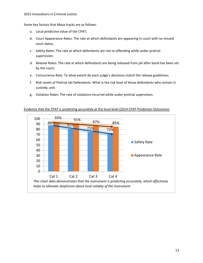Some key factors that Mesa tracks are as follows:

- a. Local predictive value of the CPAT;
- b. Court Appearance Rates: The rate at which defendants are appearing in court with no missed court dates;
- c. Safety Rates: The rate at which defendants are not re-offending while under pretrial supervision;
- d. Release Rates: The rate at which defendants are being released from jail after bond has been set by the court;
- e. Concurrence Rate: To what extent do each judge's decisions match the release guidelines;
- f. Risk Levels of Pretrial Jail Defendants: What is the risk level of those defendants who remain in custody; and
- g. Violation Rates: The rate of violations incurred while under pretrial supervision.



## Evidence that the CPAT is predicting accurately at the local level (2014 CPAT Prediction Outcomes)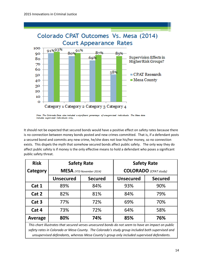

Note: The Colorado Data, also incl. ised individuals. The Mesa data iudes supervised individuals only.

It should not be expected that secured bonds would have a positive effect on safety rates because there is no connection between money bonds posted and new crimes committed. That is, if a defendant posts a secured bond and commits any new crime, he/she does not lose his/her money, so no connection exists. This dispels the myth that somehow secured bonds affect public safety. The only way they do affect public safety is if money is the only effective means to hold a defendant who poses a significant public safety threat.

| <b>Risk</b>                                                                                                                                                                                            |                                    | <b>Safety Rate</b>              | <b>Safety Rate</b>           |                |  |  |
|--------------------------------------------------------------------------------------------------------------------------------------------------------------------------------------------------------|------------------------------------|---------------------------------|------------------------------|----------------|--|--|
| Category                                                                                                                                                                                               |                                    | <b>MESA</b> (YTD November 2014) | <b>COLORADO</b> (CPAT study) |                |  |  |
|                                                                                                                                                                                                        | <b>Unsecured</b><br><b>Secured</b> |                                 | <b>Unsecured</b>             | <b>Secured</b> |  |  |
| Cat 1                                                                                                                                                                                                  | 89%                                | 84%                             | 93%                          | 90%            |  |  |
| Cat 2                                                                                                                                                                                                  | 82%                                | 81%                             | 84%                          | 79%            |  |  |
| Cat <sub>3</sub>                                                                                                                                                                                       | 77%                                | 72%                             | 69%                          | 70%            |  |  |
| Cat 4                                                                                                                                                                                                  | 73%                                | 72%                             | 64%                          | 58%            |  |  |
| <b>Average</b>                                                                                                                                                                                         | 80%                                | 74%                             | 85%                          | 76%            |  |  |
| This chart illustrates that secured verses unsecured bonds do not seem to have an impact on public<br>safety rates in Colorado or Mesa County. The Colorado's study group included both supervised and |                                    |                                 |                              |                |  |  |

*unsupervised defendants, whereas Mesa County's group only included supervised defendants.*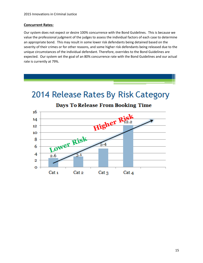## **Concurrent Rates:**

Our system does not expect or desire 100% concurrence with the Bond Guidelines. This is because we value the professional judgment of the judges to assess the individual factors of each case to determine an appropriate bond. This may result in some lower risk defendants being detained based on the severity of their crimes or for other reasons, and some higher risk defendants being released due to the unique circumstances of the individual defendant. Therefore, overrides to the Bond Guidelines are expected. Our system set the goal of an 80% concurrence rate with the Bond Guidelines and our actual rate is currently at 79%.





## **Days To Release From Booking Time**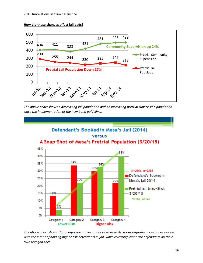



*The above chart shows a decreasing jail population and an increasing pretrial supervision population since the implementation of the new bond guidelines.*



*The above chart shows that judges are making more risk-based decisions regarding how bonds are set with the intent of holding higher risk defendants in jail, while releasing lower risk defendants on their own recognizance.*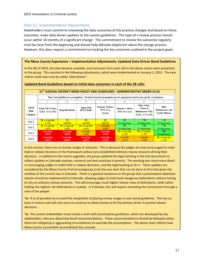## <span id="page-16-0"></span>Step 12: Implementation Adjustments

Stakeholders must commit to reviewing the data outcomes of the practice changes and based on those outcomes, make data-driven updates to the system guidelines. This type of a review process should occur within 18 months of a significant change. This commitment to review the outcomes regularly must be clear from the beginning and should help alleviate skepticism about the change process. However, this does require a commitment to tracking the key outcomes outlined in the project goals.

## **The Mesa County Experience – Implementation Adjustments: Updated Data-Driven Bond Guidelines**

In the fall of 2014, the data became available, and outcomes from each cell in the above matrix were presented to the group. This resulted in the following adjustments, which were implemented on January 1, 2015. The new matrix could now truly be called "data-driven".

| 21 <sup>st</sup> JUDICIAL DISTRICT BOND POLICY AND GUIDELINES - ADMINISTRATIVE ORDER 15-01 |                                                                                                                                  |                          |                                     |                                                   |                                                    |                                                                                    |                                                      |  |  |
|--------------------------------------------------------------------------------------------|----------------------------------------------------------------------------------------------------------------------------------|--------------------------|-------------------------------------|---------------------------------------------------|----------------------------------------------------|------------------------------------------------------------------------------------|------------------------------------------------------|--|--|
|                                                                                            | These bond guidelines are presumptions. Deviation from the presumptions may be appropriate based on case specific circumstances. |                          |                                     |                                                   |                                                    |                                                                                    |                                                      |  |  |
|                                                                                            | 5<br>3                                                                                                                           |                          |                                     |                                                   |                                                    |                                                                                    |                                                      |  |  |
| <b>CPAT</b><br>Risk<br>Category                                                            | <b>Felony VRA Crimes</b><br>$(C.R.S. 24-4.1-302)$                                                                                | <b>Drug Distribution</b> | Aggravated<br><b>DUI &amp; DARP</b> | <b>Domestic Violence</b><br>DVSI 11 or<br>Greater | <b>Domestic Violence</b><br><b>DVSI 10 or Less</b> | <b>Other Felony</b><br>Crimes &<br><b>Misdemeanor VRA</b><br>$(C.R.S. 24-4.1-302)$ | Other<br>Misdemeanor, and<br><b>Traffic Offenses</b> |  |  |
| Cat 1                                                                                      | PR or Cash Only                                                                                                                  | <b>PR</b>                | <b>PR</b>                           | <b>PR</b>                                         | PR.                                                | $*$ PR                                                                             | $*$ PR                                               |  |  |
|                                                                                            | $w/$ PTS                                                                                                                         | with PTS                 | with PTS                            | with PTS                                          | No Supervision                                     | No Supervision                                                                     | No Supervision                                       |  |  |
| Cat 2                                                                                      | PR or Cash Only                                                                                                                  | PR or Cash Only          | PR or Cash Only                     | Cash Only                                         | PR.                                                | $*$ PR                                                                             | $*$ PR                                               |  |  |
|                                                                                            | w/PTS                                                                                                                            | w/PTS                    | w/PTS                               | w/PTS                                             | No Supervision                                     | No Supervision                                                                     | No Supervision                                       |  |  |
| Cat3                                                                                       | <b>Cash Only</b>                                                                                                                 | Cash Only                | Cash Only                           | <b>Cash Only</b>                                  | PR or Cash Only                                    | PR or Cash Only                                                                    | $*PR$                                                |  |  |
|                                                                                            | w/PTS                                                                                                                            | w/PTS                    | w/PTS                               | w/PTS                                             | $w/$ PTS                                           | $w/$ PTS                                                                           | No Supervision                                       |  |  |
| Cat 4                                                                                      | Cash Only<br>w/PTS                                                                                                               | Cash Only<br>w/PTS       | <b>Cash Only</b><br>w/PTS           | Cash Only<br>w/PTS                                | Cash Only<br>w/PTS                                 | Cash Only<br>w/PTS                                                                 | PR or Cash only<br>$w/$ PTS                          |  |  |

#### **Updated Bond Guidelines based on initial data outcomes in each of the 28 cells:**

In this version, there are no money ranges or amounts. This is because the judges are now encouraged to make hold or release decisions in this framework without pre-established arbitrary money amounts driving their decisions. In addition to the matrix upgrades, the group updated the legal wording in the bail documents to reflect updates in Colorado statutes, research and best practices in pretrial. The wording was much more direct in encouraging judges to make hold or release decisions, and the legal backing to do it. These updates are considered by the Mesa County Pretrial workgroup to be the very best that can be done at this time given the confines of the current law in Colorado. There is a general consensus in the group that a preventative detention statute should be implemented in Colorado, allowing judges to hold some dangerous defendants without having to rely on arbitrary money amounts. This will encourage much higher release rates of defendants, while safely holding the highest risk defendants in custody. In Colorado, this will require amending the Constitution through a vote of the people.

Tip: If at all possible try to avoid the temptation of placing money ranges in your bond guidelines. This has no basis in science and will only serve to continue to allow money to be the primary driver in pretrial release decisions.

Tip: The system stakeholders must create a chart with presumptive guidelines, which are developed by key stakeholders, who pre-determine bond recommendations. These recommendations should be followed unless there are mitigating or aggravating circumstances to override the presumptions. The above chart reflects how Mesa County successfully accomplished this concept.